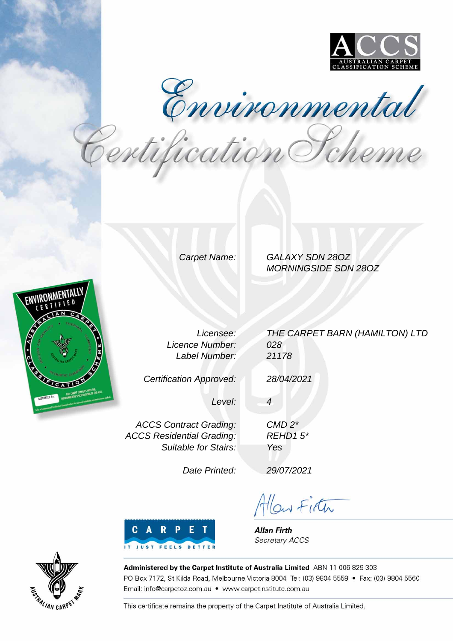

Environmental<br>Pertification Pcheme

Carpet Name: GALAXY SDN 28OZ MORNINGSIDE SDN 28OZ



Licensee: Licence Number: Label Number:

Certification Approved:

THE CARPET BARN (HAMILTON) LTD 028 21178

28/04/2021

CMD 2\* REHD1 5\*

Yes

4

Level:

ACCS Contract Grading: ACCS Residential Grading: Suitable for Stairs:

Date Printed:

29/07/2021

Allow Firth



**Allan Firth** Secretary ACCS



Administered by the Carpet Institute of Australia Limited ABN 11 006 829 303 PO Box 7172, St Kilda Road, Melbourne Victoria 8004 Tel: (03) 9804 5559 · Fax: (03) 9804 5560 Email: info@carpetoz.com.au • www.carpetinstitute.com.au

This certificate remains the property of the Carpet Institute of Australia Limited.